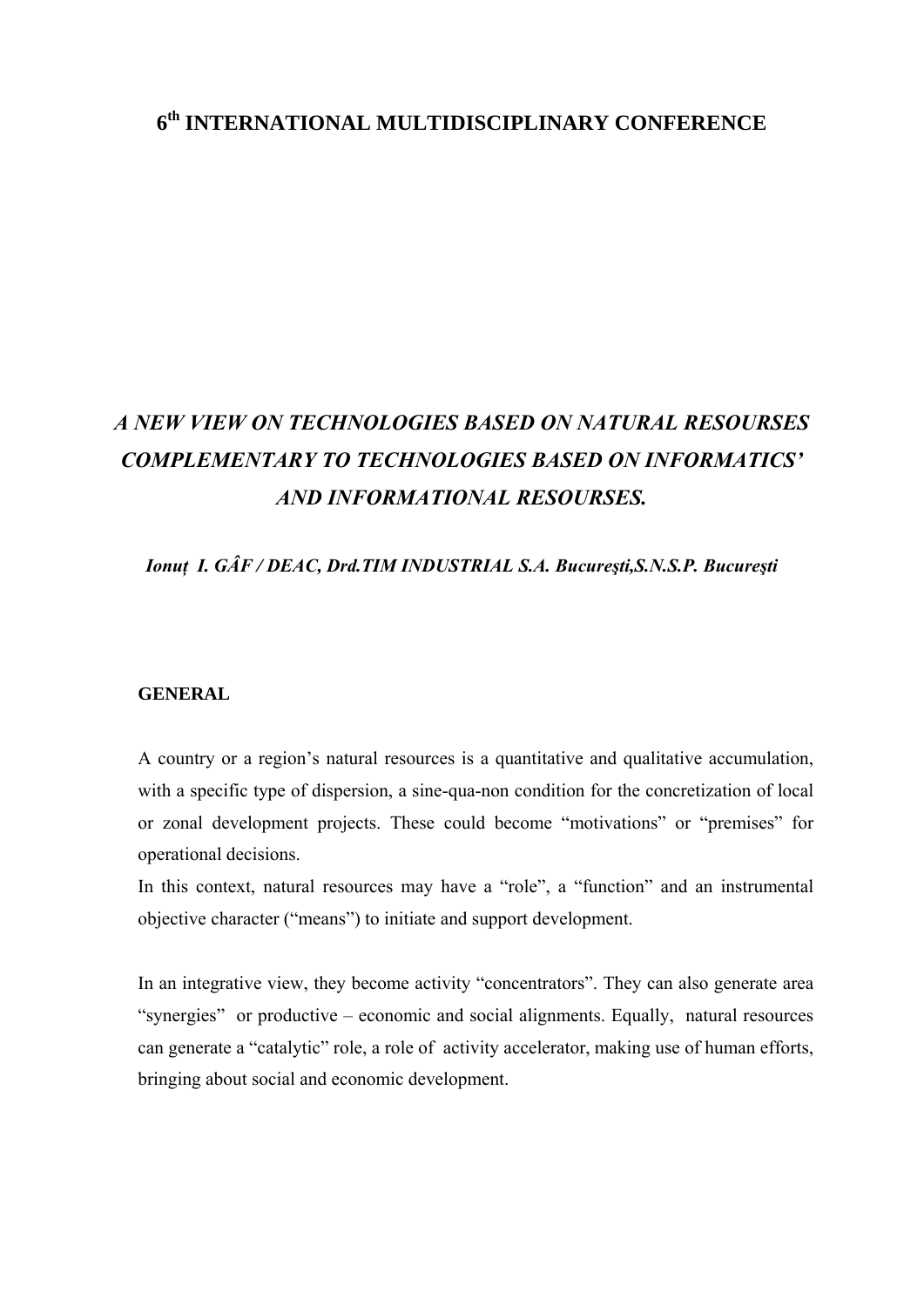# **6th INTERNATIONAL MULTIDISCIPLINARY CONFERENCE**

# *A NEW VIEW ON TECHNOLOGIES BASED ON NATURAL RESOURSES COMPLEMENTARY TO TECHNOLOGIES BASED ON INFORMATICS' AND INFORMATIONAL RESOURSES.*

## *Ionuţ I. GÂF / DEAC, Drd.TIM INDUSTRIAL S.A. Bucureşti,S.N.S.P. Bucureşti*

### **GENERAL**

A country or a region's natural resources is a quantitative and qualitative accumulation, with a specific type of dispersion, a sine-qua-non condition for the concretization of local or zonal development projects. These could become "motivations" or "premises" for operational decisions.

In this context, natural resources may have a "role", a "function" and an instrumental objective character ("means") to initiate and support development.

In an integrative view, they become activity "concentrators". They can also generate area "synergies" or productive – economic and social alignments. Equally, natural resources can generate a "catalytic" role, a role of activity accelerator, making use of human efforts, bringing about social and economic development.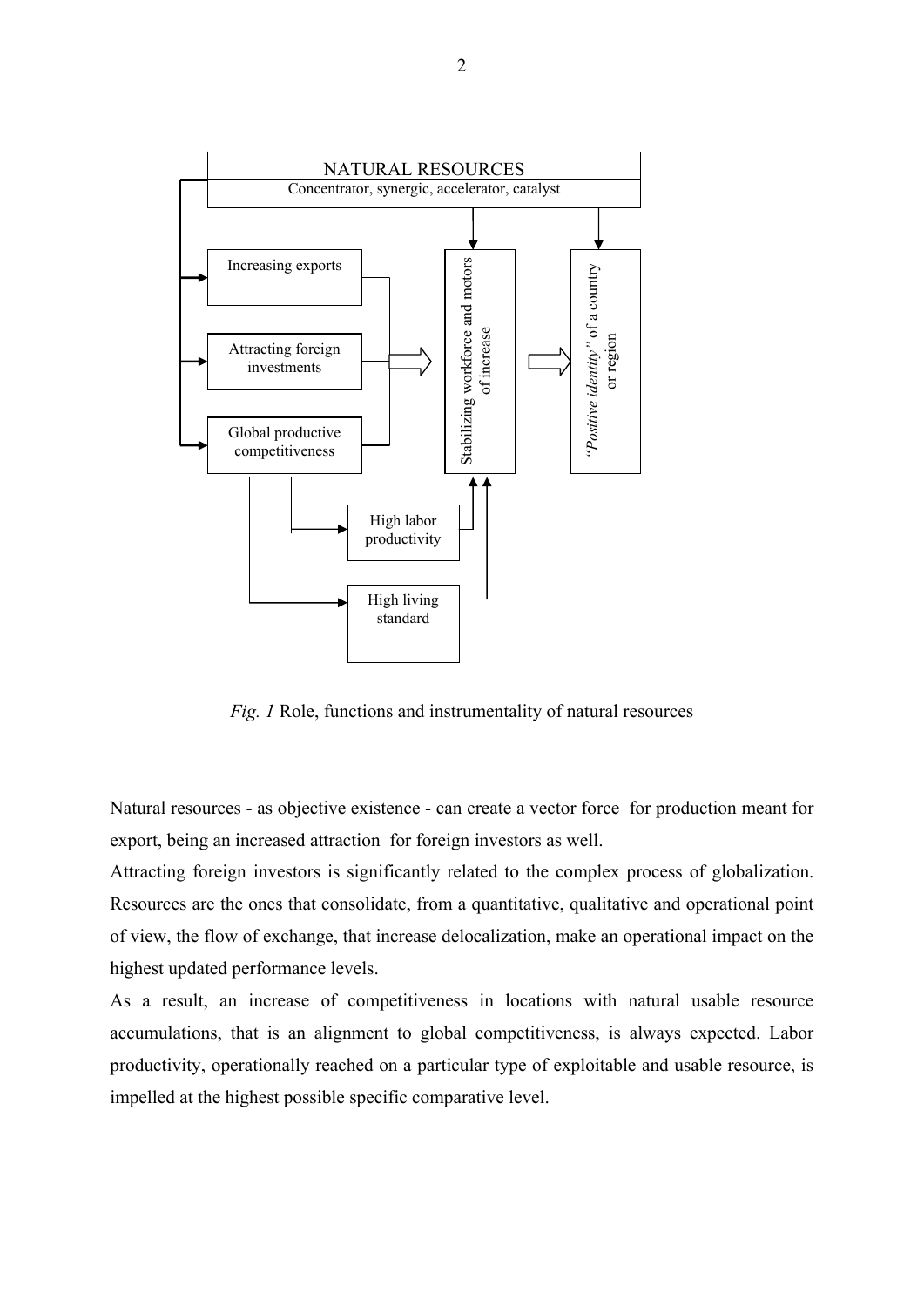

*Fig. 1* Role, functions and instrumentality of natural resources

Natural resources - as objective existence - can create a vector force for production meant for export, being an increased attraction for foreign investors as well.

Attracting foreign investors is significantly related to the complex process of globalization. Resources are the ones that consolidate, from a quantitative, qualitative and operational point of view, the flow of exchange, that increase delocalization, make an operational impact on the highest updated performance levels.

As a result, an increase of competitiveness in locations with natural usable resource accumulations, that is an alignment to global competitiveness, is always expected. Labor productivity, operationally reached on a particular type of exploitable and usable resource, is impelled at the highest possible specific comparative level.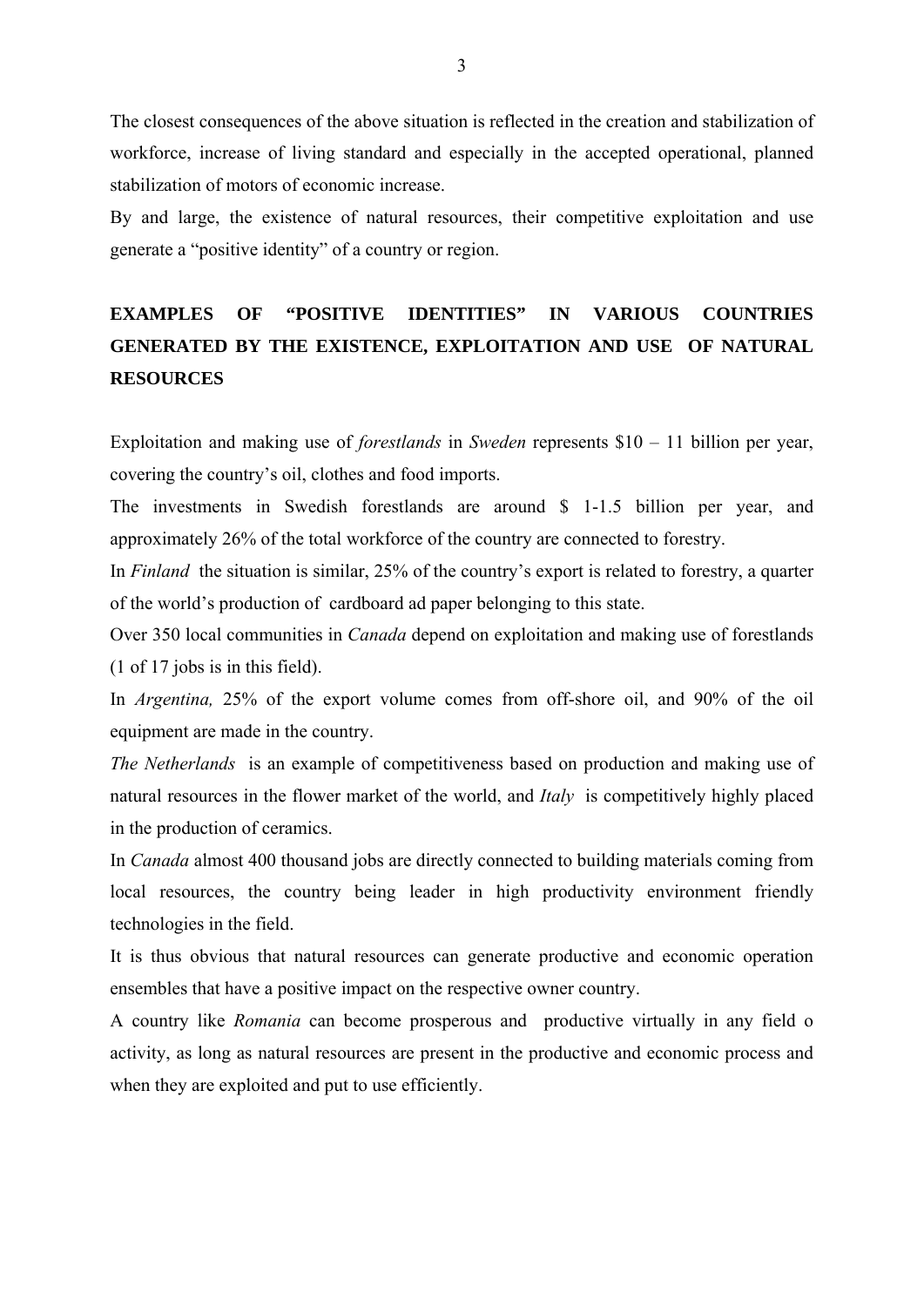The closest consequences of the above situation is reflected in the creation and stabilization of workforce, increase of living standard and especially in the accepted operational, planned stabilization of motors of economic increase.

By and large, the existence of natural resources, their competitive exploitation and use generate a "positive identity" of a country or region.

# **EXAMPLES OF "POSITIVE IDENTITIES" IN VARIOUS COUNTRIES GENERATED BY THE EXISTENCE, EXPLOITATION AND USE OF NATURAL RESOURCES**

Exploitation and making use of *forestlands* in *Sweden* represents \$10 – 11 billion per year, covering the country's oil, clothes and food imports.

The investments in Swedish forestlands are around \$ 1-1.5 billion per year, and approximately 26% of the total workforce of the country are connected to forestry.

In *Finland* the situation is similar, 25% of the country's export is related to forestry, a quarter of the world's production of cardboard ad paper belonging to this state.

Over 350 local communities in *Canada* depend on exploitation and making use of forestlands (1 of 17 jobs is in this field).

In *Argentina,* 25% of the export volume comes from off-shore oil, and 90% of the oil equipment are made in the country.

*The Netherlands* is an example of competitiveness based on production and making use of natural resources in the flower market of the world, and *Italy* is competitively highly placed in the production of ceramics.

In *Canada* almost 400 thousand jobs are directly connected to building materials coming from local resources, the country being leader in high productivity environment friendly technologies in the field.

It is thus obvious that natural resources can generate productive and economic operation ensembles that have a positive impact on the respective owner country.

A country like *Romania* can become prosperous and productive virtually in any field o activity, as long as natural resources are present in the productive and economic process and when they are exploited and put to use efficiently.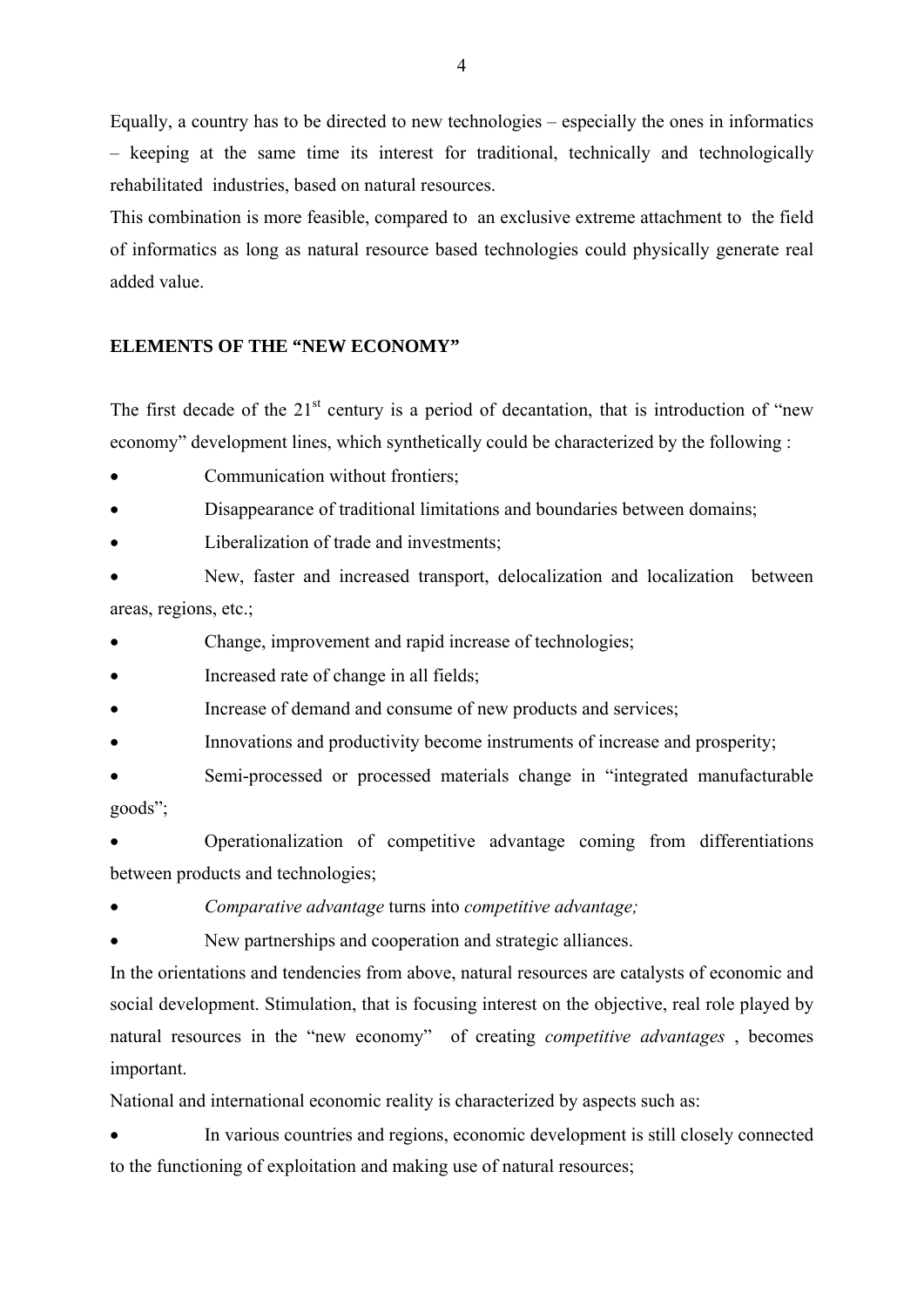Equally, a country has to be directed to new technologies – especially the ones in informatics – keeping at the same time its interest for traditional, technically and technologically rehabilitated industries, based on natural resources.

This combination is more feasible, compared to an exclusive extreme attachment to the field of informatics as long as natural resource based technologies could physically generate real added value.

### **ELEMENTS OF THE "NEW ECONOMY"**

The first decade of the  $21<sup>st</sup>$  century is a period of decantation, that is introduction of "new economy" development lines, which synthetically could be characterized by the following :

Communication without frontiers;

• Disappearance of traditional limitations and boundaries between domains;

Liberalization of trade and investments;

• New, faster and increased transport, delocalization and localization between areas, regions, etc.;

Change, improvement and rapid increase of technologies;

Increased rate of change in all fields;

Increase of demand and consume of new products and services:

• Innovations and productivity become instruments of increase and prosperity;

• Semi-processed or processed materials change in "integrated manufacturable goods";

• Operationalization of competitive advantage coming from differentiations between products and technologies;

• *Comparative advantage* turns into *competitive advantage;*

New partnerships and cooperation and strategic alliances.

In the orientations and tendencies from above, natural resources are catalysts of economic and social development. Stimulation, that is focusing interest on the objective, real role played by natural resources in the "new economy" of creating *competitive advantages* , becomes important.

National and international economic reality is characterized by aspects such as:

• In various countries and regions, economic development is still closely connected to the functioning of exploitation and making use of natural resources;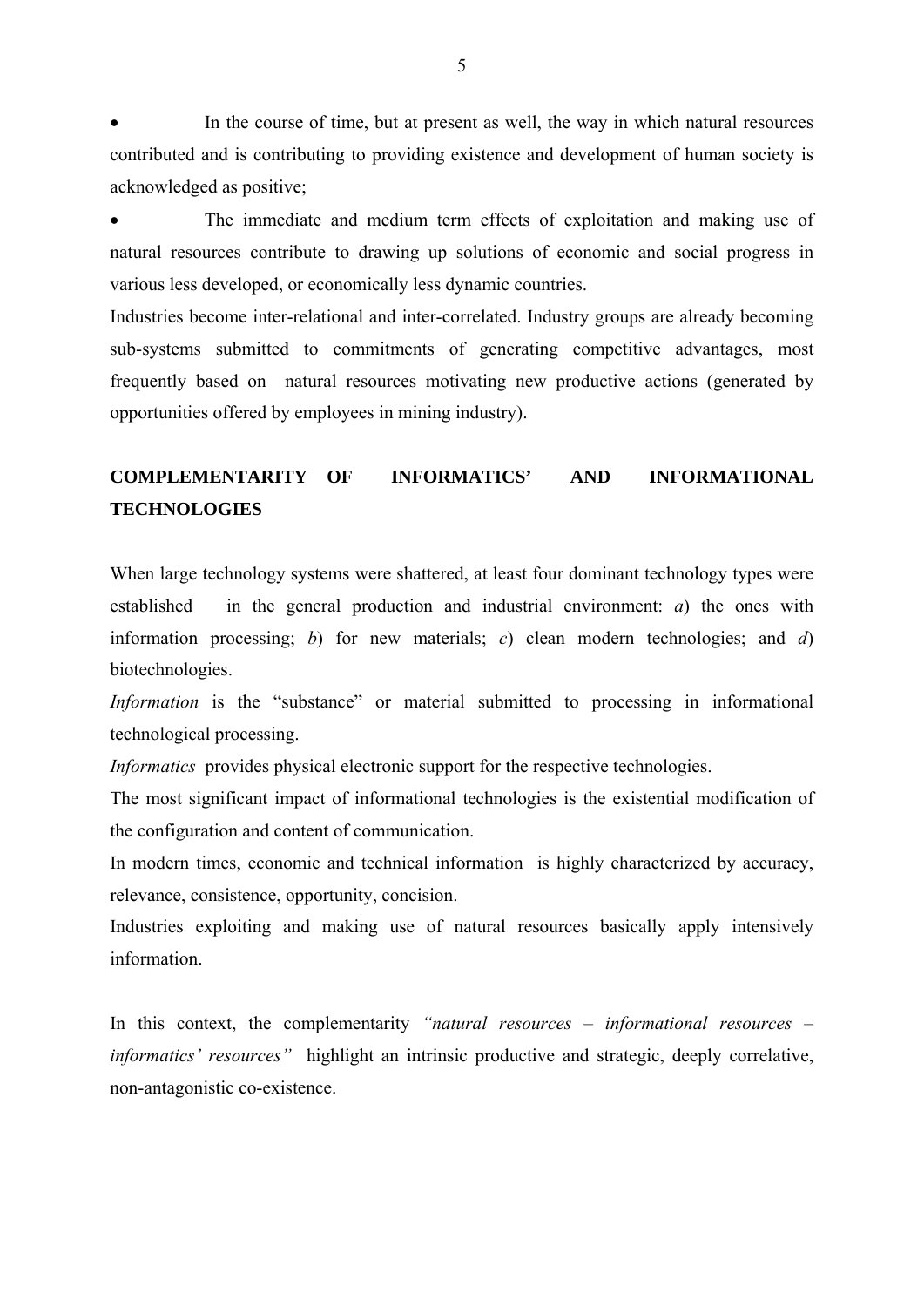In the course of time, but at present as well, the way in which natural resources contributed and is contributing to providing existence and development of human society is acknowledged as positive;

The immediate and medium term effects of exploitation and making use of natural resources contribute to drawing up solutions of economic and social progress in various less developed, or economically less dynamic countries.

Industries become inter-relational and inter-correlated. Industry groups are already becoming sub-systems submitted to commitments of generating competitive advantages, most frequently based on natural resources motivating new productive actions (generated by opportunities offered by employees in mining industry).

## **COMPLEMENTARITY OF INFORMATICS' AND INFORMATIONAL TECHNOLOGIES**

When large technology systems were shattered, at least four dominant technology types were established in the general production and industrial environment: *a*) the ones with information processing; *b*) for new materials; *c*) clean modern technologies; and *d*) biotechnologies.

*Information* is the "substance" or material submitted to processing in informational technological processing.

*Informatics* provides physical electronic support for the respective technologies.

The most significant impact of informational technologies is the existential modification of the configuration and content of communication.

In modern times, economic and technical information is highly characterized by accuracy, relevance, consistence, opportunity, concision.

Industries exploiting and making use of natural resources basically apply intensively information.

In this context, the complementarity *"natural resources – informational resources – informatics' resources"* highlight an intrinsic productive and strategic, deeply correlative, non-antagonistic co-existence.